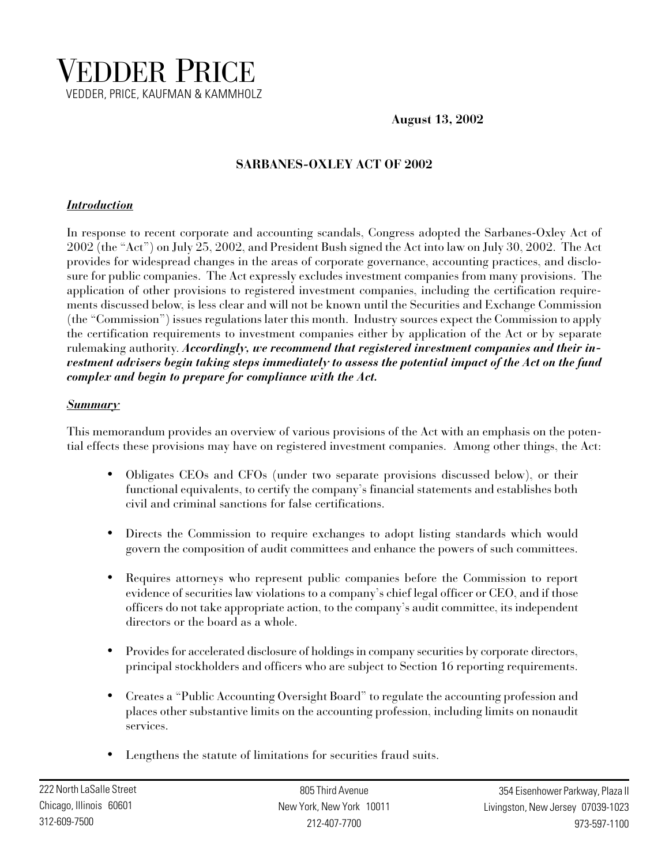

**August 13, 2002**

# **SARBANES-OXLEY ACT OF 2002**

### *Introduction*

In response to recent corporate and accounting scandals, Congress adopted the Sarbanes-Oxley Act of 2002 (the "Act") on July 25, 2002, and President Bush signed the Act into law on July 30, 2002. The Act provides for widespread changes in the areas of corporate governance, accounting practices, and disclosure for public companies. The Act expressly excludes investment companies from many provisions. The application of other provisions to registered investment companies, including the certification requirements discussed below, is less clear and will not be known until the Securities and Exchange Commission (the "Commission") issues regulations later this month. Industry sources expect the Commission to apply the certification requirements to investment companies either by application of the Act or by separate rulemaking authority. *Accordingly, we recommend that registered investment companies and their investment advisers begin taking steps immediately to assess the potential impact of the Act on the fund complex and begin to prepare for compliance with the Act.*

#### *Summary*

This memorandum provides an overview of various provisions of the Act with an emphasis on the potential effects these provisions may have on registered investment companies. Among other things, the Act:

- Obligates CEOs and CFOs (under two separate provisions discussed below), or their functional equivalents, to certify the company's financial statements and establishes both civil and criminal sanctions for false certifications.
- Directs the Commission to require exchanges to adopt listing standards which would govern the composition of audit committees and enhance the powers of such committees.
- Requires attorneys who represent public companies before the Commission to report evidence of securities law violations to a company's chief legal officer or CEO, and if those officers do not take appropriate action, to the company's audit committee, its independent directors or the board as a whole.
- Provides for accelerated disclosure of holdings in company securities by corporate directors, principal stockholders and officers who are subject to Section 16 reporting requirements.
- Creates a "Public Accounting Oversight Board" to regulate the accounting profession and places other substantive limits on the accounting profession, including limits on nonaudit services.
- Lengthens the statute of limitations for securities fraud suits.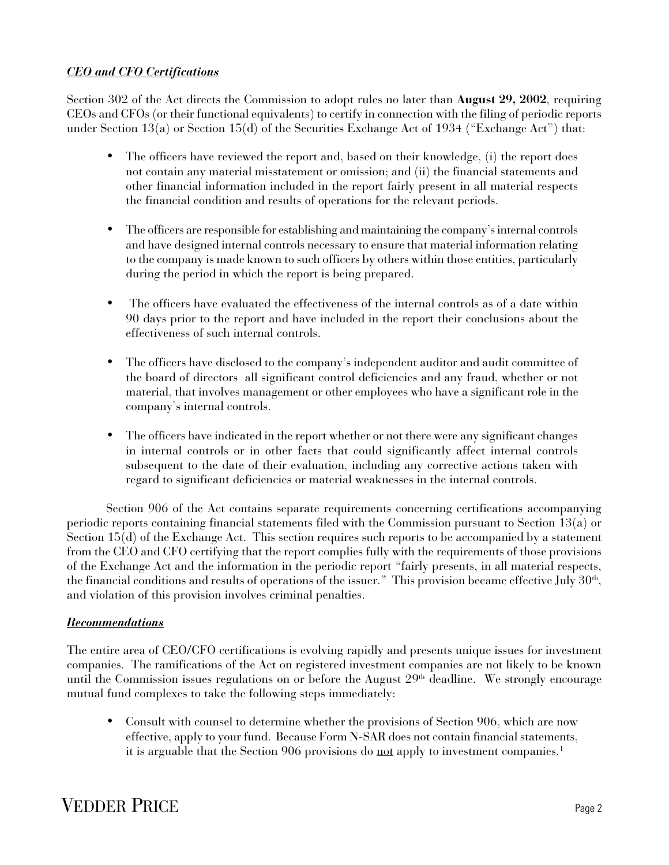# *CEO and CFO Certifications*

Section 302 of the Act directs the Commission to adopt rules no later than **August 29, 2002**, requiring CEOs and CFOs (or their functional equivalents) to certify in connection with the filing of periodic reports under Section 13(a) or Section 15(d) of the Securities Exchange Act of 1934 ("Exchange Act") that:

- The officers have reviewed the report and, based on their knowledge, (i) the report does not contain any material misstatement or omission; and (ii) the financial statements and other financial information included in the report fairly present in all material respects the financial condition and results of operations for the relevant periods.
- The officers are responsible for establishing and maintaining the company's internal controls and have designed internal controls necessary to ensure that material information relating to the company is made known to such officers by others within those entities, particularly during the period in which the report is being prepared.
- The officers have evaluated the effectiveness of the internal controls as of a date within 90 days prior to the report and have included in the report their conclusions about the effectiveness of such internal controls.
- The officers have disclosed to the company's independent auditor and audit committee of the board of directors all significant control deficiencies and any fraud, whether or not material, that involves management or other employees who have a significant role in the company's internal controls.
- The officers have indicated in the report whether or not there were any significant changes in internal controls or in other facts that could significantly affect internal controls subsequent to the date of their evaluation, including any corrective actions taken with regard to significant deficiencies or material weaknesses in the internal controls.

Section 906 of the Act contains separate requirements concerning certifications accompanying periodic reports containing financial statements filed with the Commission pursuant to Section 13(a) or Section 15(d) of the Exchange Act. This section requires such reports to be accompanied by a statement from the CEO and CFO certifying that the report complies fully with the requirements of those provisions of the Exchange Act and the information in the periodic report "fairly presents, in all material respects, the financial conditions and results of operations of the issuer." This provision became effective July  $30^{\rm h}$ , and violation of this provision involves criminal penalties.

#### *Recommendations*

The entire area of CEO/CFO certifications is evolving rapidly and presents unique issues for investment companies. The ramifications of the Act on registered investment companies are not likely to be known until the Commission issues regulations on or before the August 29<sup>th</sup> deadline. We strongly encourage mutual fund complexes to take the following steps immediately:

• Consult with counsel to determine whether the provisions of Section 906, which are now effective, apply to your fund. Because Form N-SAR does not contain financial statements, it is arguable that the Section 906 provisions do not apply to investment companies.<sup>1</sup>

# **VEDDER PRICE** Page 2